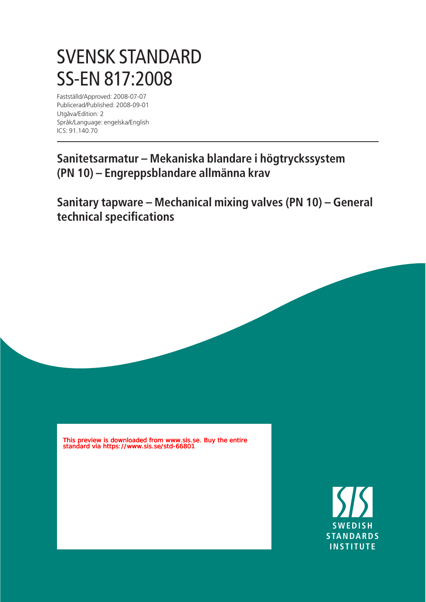# SVENSK STANDARD SS-EN 817:2008

Fastställd/Approved: 2008-07-07 Publicerad/Published: 2008-09-01 Utgåva/Edition: 2 Språk/Language: engelska/English ICS: 91.140.70

# **Sanitetsarmatur – Mekaniska blandare i högtryckssystem (PN 10) – Engreppsblandare allmänna krav**

**Sanitary tapware – Mechanical mixing valves (PN 10) – General technical specifications**

This preview is downloaded from www.sis.se. Buy the entire standard via https://www.sis.se/std-66801

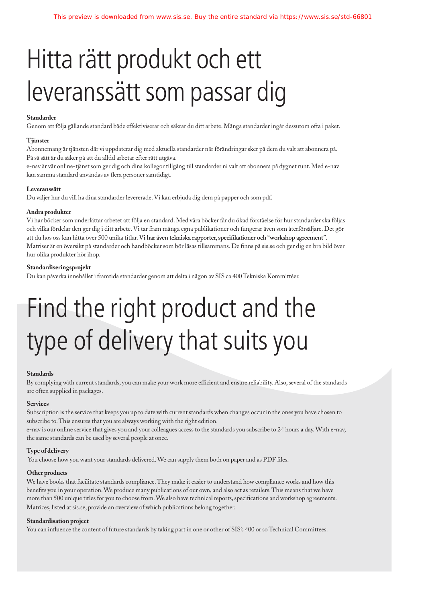# Hitta rätt produkt och ett leveranssätt som passar dig

#### **Standarder**

Genom att följa gällande standard både effektiviserar och säkrar du ditt arbete. Många standarder ingår dessutom ofta i paket.

#### **Tjänster**

Abonnemang är tjänsten där vi uppdaterar dig med aktuella standarder när förändringar sker på dem du valt att abonnera på. På så sätt är du säker på att du alltid arbetar efter rätt utgåva.

e-nav är vår online-tjänst som ger dig och dina kollegor tillgång till standarder ni valt att abonnera på dygnet runt. Med e-nav kan samma standard användas av flera personer samtidigt.

#### **Leveranssätt**

Du väljer hur du vill ha dina standarder levererade. Vi kan erbjuda dig dem på papper och som pdf.

#### **Andra produkter**

Vi har böcker som underlättar arbetet att följa en standard. Med våra böcker får du ökad förståelse för hur standarder ska följas och vilka fördelar den ger dig i ditt arbete. Vi tar fram många egna publikationer och fungerar även som återförsäljare. Det gör att du hos oss kan hitta över 500 unika titlar. Vi har även tekniska rapporter, specifikationer och "workshop agreement". Matriser är en översikt på standarder och handböcker som bör läsas tillsammans. De finns på sis.se och ger dig en bra bild över hur olika produkter hör ihop.

#### **Standardiseringsprojekt**

Du kan påverka innehållet i framtida standarder genom att delta i någon av SIS ca 400 Tekniska Kommittéer.

# Find the right product and the type of delivery that suits you

#### **Standards**

By complying with current standards, you can make your work more efficient and ensure reliability. Also, several of the standards are often supplied in packages.

#### **Services**

Subscription is the service that keeps you up to date with current standards when changes occur in the ones you have chosen to subscribe to. This ensures that you are always working with the right edition.

e-nav is our online service that gives you and your colleagues access to the standards you subscribe to 24 hours a day. With e-nav, the same standards can be used by several people at once.

#### **Type of delivery**

You choose how you want your standards delivered. We can supply them both on paper and as PDF files.

#### **Other products**

We have books that facilitate standards compliance. They make it easier to understand how compliance works and how this benefits you in your operation. We produce many publications of our own, and also act as retailers. This means that we have more than 500 unique titles for you to choose from. We also have technical reports, specifications and workshop agreements. Matrices, listed at sis.se, provide an overview of which publications belong together.

#### **Standardisation project**

You can influence the content of future standards by taking part in one or other of SIS's 400 or so Technical Committees.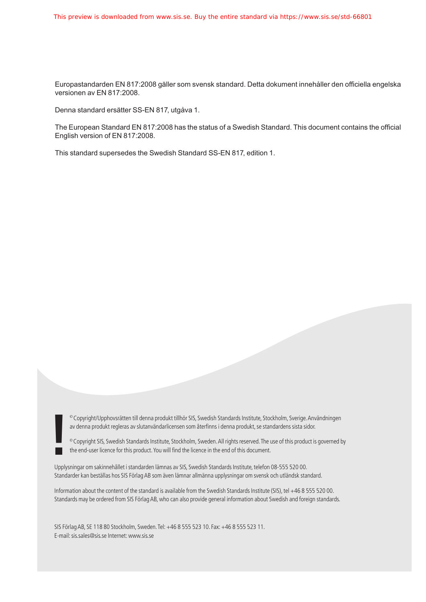Europastandarden EN 817:2008 gäller som svensk standard. Detta dokument innehåller den officiella engelska versionen av EN 817:2008.

Denna standard ersätter SS-EN 817, utgåva 1.

The European Standard EN 817:2008 has the status of a Swedish Standard. This document contains the official English version of EN 817:2008.

This standard supersedes the Swedish Standard SS-EN 817, edition 1.

av denna produkt regleras av slutanvändarlicensen som återfinns i denna produkt, se standardens sista sidor.

<sup>©</sup> Copyright/Upphovsrätten till denna produkt tillhör SIS, Swedish Standards Institute, Stockholm, Sverige. Användningen<br>av denna produkt regleras av slutanvändarlicensen som återfinns i denna produkt, se standardens sis

Upplysningar om sakinnehållet i standarden lämnas av SIS, Swedish Standards Institute, telefon 08-555 520 00. Standarder kan beställas hos SIS Förlag AB som även lämnar allmänna upplysningar om svensk och utländsk standard.

Information about the content of the standard is available from the Swedish Standards Institute (SIS), tel +46 8 555 520 00. Standards may be ordered from SIS Förlag AB, who can also provide general information about Swedish and foreign standards.

SIS Förlag AB, SE 118 80 Stockholm, Sweden. Tel: +46 8 555 523 10. Fax: +46 8 555 523 11. E-mail: sis.sales@sis.se Internet: www.sis.se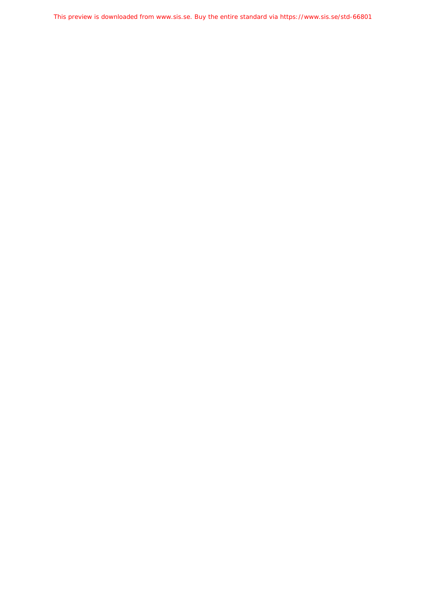This preview is downloaded from www.sis.se. Buy the entire standard via https://www.sis.se/std-66801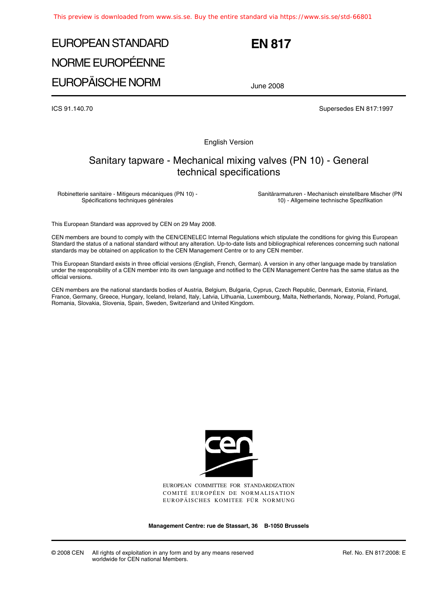# EUROPEAN STANDARD NORME EUROPÉENNE EUROPÄISCHE NORM

**EN 817**

June 2008

ICS 91.140.70 Supersedes EN 817:1997

English Version

### Sanitary tapware - Mechanical mixing valves (PN 10) - General technical specifications

Robinetterie sanitaire - Mitigeurs mécaniques (PN 10) - Spécifications techniques générales

Sanitärarmaturen - Mechanisch einstellbare Mischer (PN 10) - Allgemeine technische Spezifikation

This European Standard was approved by CEN on 29 May 2008.

CEN members are bound to comply with the CEN/CENELEC Internal Regulations which stipulate the conditions for giving this European Standard the status of a national standard without any alteration. Up-to-date lists and bibliographical references concerning such national standards may be obtained on application to the CEN Management Centre or to any CEN member.

This European Standard exists in three official versions (English, French, German). A version in any other language made by translation under the responsibility of a CEN member into its own language and notified to the CEN Management Centre has the same status as the official versions.

CEN members are the national standards bodies of Austria, Belgium, Bulgaria, Cyprus, Czech Republic, Denmark, Estonia, Finland, France, Germany, Greece, Hungary, Iceland, Ireland, Italy, Latvia, Lithuania, Luxembourg, Malta, Netherlands, Norway, Poland, Portugal, Romania, Slovakia, Slovenia, Spain, Sweden, Switzerland and United Kingdom.



EUROPEAN COMMITTEE FOR STANDARDIZATION COMITÉ EUROPÉEN DE NORMALISATION EUROPÄISCHES KOMITEE FÜR NORMUNG

**Management Centre: rue de Stassart, 36 B-1050 Brussels**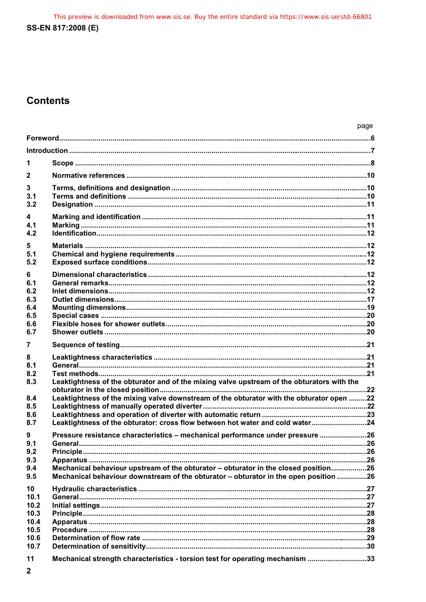This preview is downloaded from www.sis.se. Buy the entire standard via https://www.sis.se/std-66801 SS-EN 817:2008 (E)

## **Contents**

|                                                            |                                                                                                                                                                                                                                                               | page |
|------------------------------------------------------------|---------------------------------------------------------------------------------------------------------------------------------------------------------------------------------------------------------------------------------------------------------------|------|
|                                                            |                                                                                                                                                                                                                                                               |      |
|                                                            |                                                                                                                                                                                                                                                               |      |
| 1                                                          |                                                                                                                                                                                                                                                               |      |
| $\mathbf{2}$                                               |                                                                                                                                                                                                                                                               |      |
| 3<br>3.1<br>3.2                                            |                                                                                                                                                                                                                                                               |      |
| 4<br>4.1<br>4.2                                            |                                                                                                                                                                                                                                                               |      |
| 5<br>5.1<br>5.2                                            |                                                                                                                                                                                                                                                               |      |
| 6<br>6.1<br>6.2<br>6.3<br>6.4<br>6.5<br>6.6<br>6.7         |                                                                                                                                                                                                                                                               |      |
| 7                                                          |                                                                                                                                                                                                                                                               |      |
| 8<br>8.1<br>8.2<br>8.3                                     | Leaktightness of the obturator and of the mixing valve upstream of the obturators with the                                                                                                                                                                    |      |
| 8.4<br>8.5<br>8.6<br>8.7                                   | Leaktightness of the mixing valve downstream of the obturator with the obturator open 22<br>Leaktightness of the obturator: cross flow between hot water and cold water24                                                                                     |      |
| 9<br>9.1<br>9.2<br>9.3<br>9.4<br>9.5                       | Pressure resistance characteristics - mechanical performance under pressure 26<br>Mechanical behaviour upstream of the obturator - obturator in the closed position26<br>Mechanical behaviour downstream of the obturator – obturator in the open position 26 |      |
| 10<br>10.1<br>10.2<br>10.3<br>10.4<br>10.5<br>10.6<br>10.7 |                                                                                                                                                                                                                                                               |      |
| 11                                                         | Mechanical strength characteristics - torsion test for operating mechanism 33                                                                                                                                                                                 |      |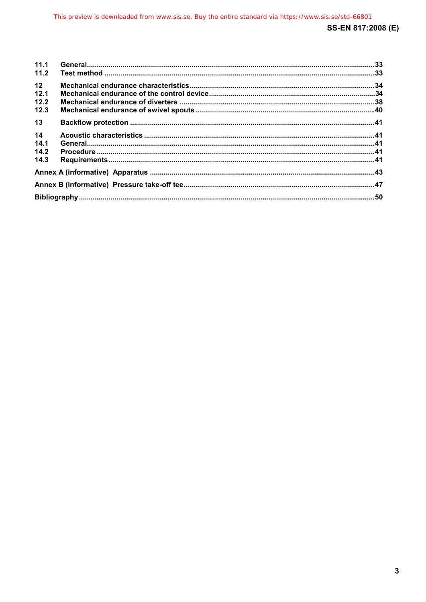| 11.1<br>11.2               |  |  |  |
|----------------------------|--|--|--|
| 12<br>12.1<br>12.2<br>12.3 |  |  |  |
| 13                         |  |  |  |
| 14<br>14.1<br>14.2<br>14.3 |  |  |  |
|                            |  |  |  |
|                            |  |  |  |
|                            |  |  |  |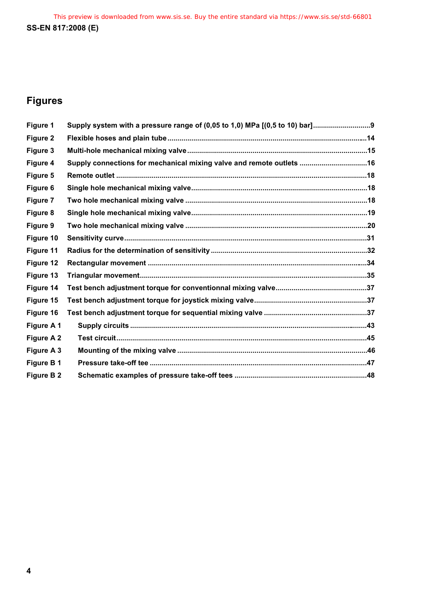**EN 817:2008 (E) SS-EN 817:2008 (E)** This preview is downloaded from www.sis.se. Buy the entire standard via https://www.sis.se/std-66801

# **Figures**

| Figure 1   | Supply system with a pressure range of (0,05 to 1,0) MPa [(0,5 to 10) bar]9 |  |
|------------|-----------------------------------------------------------------------------|--|
| Figure 2   |                                                                             |  |
| Figure 3   |                                                                             |  |
| Figure 4   | Supply connections for mechanical mixing valve and remote outlets  16       |  |
| Figure 5   |                                                                             |  |
| Figure 6   |                                                                             |  |
| Figure 7   |                                                                             |  |
| Figure 8   |                                                                             |  |
| Figure 9   |                                                                             |  |
| Figure 10  |                                                                             |  |
| Figure 11  |                                                                             |  |
| Figure 12  |                                                                             |  |
| Figure 13  |                                                                             |  |
| Figure 14  |                                                                             |  |
| Figure 15  |                                                                             |  |
| Figure 16  |                                                                             |  |
| Figure A 1 |                                                                             |  |
| Figure A 2 |                                                                             |  |
| Figure A 3 |                                                                             |  |
| Figure B 1 |                                                                             |  |
| Figure B 2 |                                                                             |  |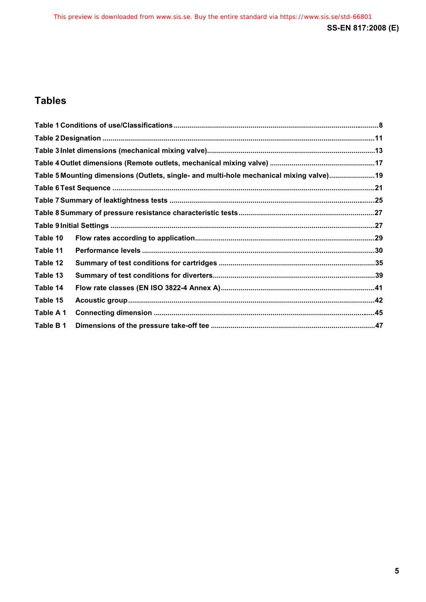# **Tables**

|           | Table 5 Mounting dimensions (Outlets, single- and multi-hole mechanical mixing valve)19 |  |
|-----------|-----------------------------------------------------------------------------------------|--|
|           |                                                                                         |  |
|           |                                                                                         |  |
|           |                                                                                         |  |
|           |                                                                                         |  |
| Table 10  |                                                                                         |  |
| Table 11  |                                                                                         |  |
| Table 12  |                                                                                         |  |
| Table 13  |                                                                                         |  |
| Table 14  |                                                                                         |  |
| Table 15  |                                                                                         |  |
| Table A 1 |                                                                                         |  |
| Table B 1 |                                                                                         |  |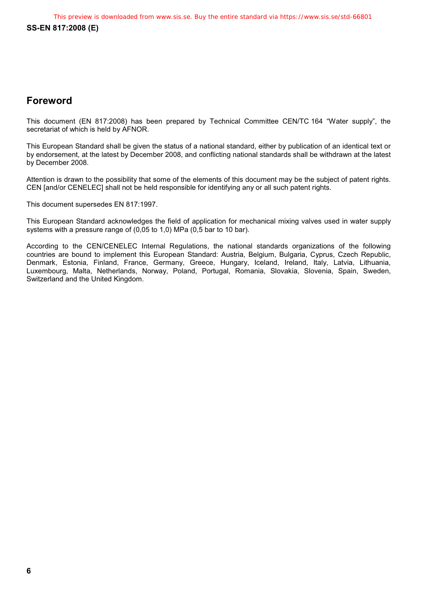### **Foreword**

This document (EN 817:2008) has been prepared by Technical Committee CEN/TC 164 "Water supply", the secretariat of which is held by AFNOR.

This European Standard shall be given the status of a national standard, either by publication of an identical text or by endorsement, at the latest by December 2008, and conflicting national standards shall be withdrawn at the latest by December 2008.

Attention is drawn to the possibility that some of the elements of this document may be the subject of patent rights. CEN [and/or CENELEC] shall not be held responsible for identifying any or all such patent rights.

This document supersedes EN 817:1997.

This European Standard acknowledges the field of application for mechanical mixing valves used in water supply systems with a pressure range of (0,05 to 1,0) MPa (0,5 bar to 10 bar).

According to the CEN/CENELEC Internal Regulations, the national standards organizations of the following countries are bound to implement this European Standard: Austria, Belgium, Bulgaria, Cyprus, Czech Republic, Denmark, Estonia, Finland, France, Germany, Greece, Hungary, Iceland, Ireland, Italy, Latvia, Lithuania, Luxembourg, Malta, Netherlands, Norway, Poland, Portugal, Romania, Slovakia, Slovenia, Spain, Sweden, Switzerland and the United Kingdom.